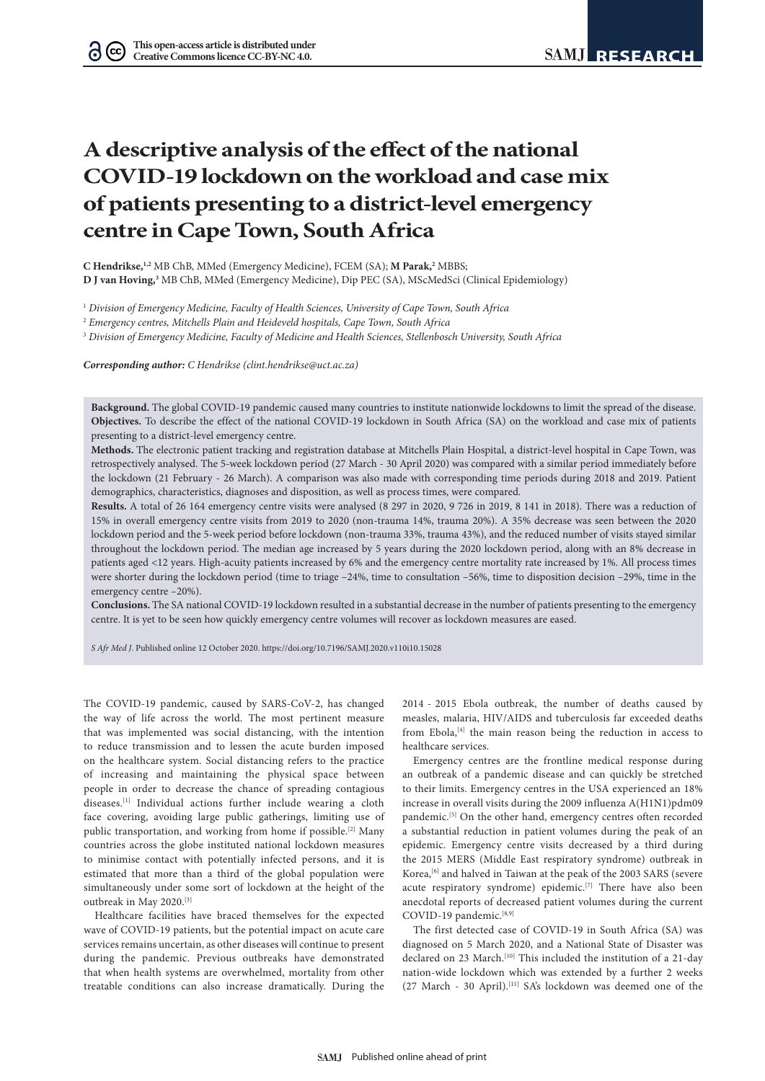# **A descriptive analysis of the effect of the national COVID-19 lockdown on the workload and case mix of patients presenting to a district-level emergency centre in Cape Town, South Africa**

**C Hendrikse,1,2** MB ChB, MMed (Emergency Medicine), FCEM (SA); **M Parak,2** MBBS; **D J van Hoving,3** MB ChB, MMed (Emergency Medicine), Dip PEC (SA), MScMedSci (Clinical Epidemiology)

<sup>1</sup> *Division of Emergency Medicine, Faculty of Health Sciences, University of Cape Town, South Africa*

<sup>2</sup> *Emergency centres, Mitchells Plain and Heideveld hospitals, Cape Town, South Africa*

<sup>3</sup> *Division of Emergency Medicine, Faculty of Medicine and Health Sciences, Stellenbosch University, South Africa*

*Corresponding author: C Hendrikse (clint.hendrikse@uct.ac.za)*

**Background.** The global COVID-19 pandemic caused many countries to institute nationwide lockdowns to limit the spread of the disease. **Objectives.** To describe the effect of the national COVID-19 lockdown in South Africa (SA) on the workload and case mix of patients presenting to a district-level emergency centre.

**Methods.** The electronic patient tracking and registration database at Mitchells Plain Hospital, a district-level hospital in Cape Town, was retrospectively analysed. The 5-week lockdown period (27 March - 30 April 2020) was compared with a similar period immediately before the lockdown (21 February - 26 March). A comparison was also made with corresponding time periods during 2018 and 2019. Patient demographics, characteristics, diagnoses and disposition, as well as process times, were compared.

**Results.** A total of 26 164 emergency centre visits were analysed (8 297 in 2020, 9 726 in 2019, 8 141 in 2018). There was a reduction of 15% in overall emergency centre visits from 2019 to 2020 (non-trauma 14%, trauma 20%). A 35% decrease was seen between the 2020 lockdown period and the 5-week period before lockdown (non-trauma 33%, trauma 43%), and the reduced number of visits stayed similar throughout the lockdown period. The median age increased by 5 years during the 2020 lockdown period, along with an 8% decrease in patients aged <12 years. High-acuity patients increased by 6% and the emergency centre mortality rate increased by 1%. All process times were shorter during the lockdown period (time to triage –24%, time to consultation –56%, time to disposition decision –29%, time in the emergency centre –20%).

**Conclusions.** The SA national COVID-19 lockdown resulted in a substantial decrease in the number of patients presenting to the emergency centre. It is yet to be seen how quickly emergency centre volumes will recover as lockdown measures are eased.

*S Afr Med J*. Published online 12 October 2020. https://doi.org/10.7196/SAMJ.2020.v110i10.15028

The COVID-19 pandemic, caused by SARS-CoV-2, has changed the way of life across the world. The most pertinent measure that was implemented was social distancing, with the intention to reduce transmission and to lessen the acute burden imposed on the healthcare system. Social distancing refers to the practice of increasing and maintaining the physical space between people in order to decrease the chance of spreading contagious diseases.[1] Individual actions further include wearing a cloth face covering, avoiding large public gatherings, limiting use of public transportation, and working from home if possible.<sup>[2]</sup> Many countries across the globe instituted national lockdown measures to minimise contact with potentially infected persons, and it is estimated that more than a third of the global population were simultaneously under some sort of lockdown at the height of the outbreak in May 2020.[3]

Healthcare facilities have braced themselves for the expected wave of COVID-19 patients, but the potential impact on acute care services remains uncertain, as other diseases will continue to present during the pandemic. Previous outbreaks have demonstrated that when health systems are overwhelmed, mortality from other treatable conditions can also increase dramatically. During the

2014 - 2015 Ebola outbreak, the number of deaths caused by measles, malaria, HIV/AIDS and tuberculosis far exceeded deaths from Ebola, $[4]$  the main reason being the reduction in access to healthcare services.

Emergency centres are the frontline medical response during an outbreak of a pandemic disease and can quickly be stretched to their limits. Emergency centres in the USA experienced an 18% increase in overall visits during the 2009 influenza A(H1N1)pdm09 pandemic.<sup>[5]</sup> On the other hand, emergency centres often recorded a substantial reduction in patient volumes during the peak of an epidemic. Emergency centre visits decreased by a third during the 2015 MERS (Middle East respiratory syndrome) outbreak in Korea,<sup>[6]</sup> and halved in Taiwan at the peak of the 2003 SARS (severe acute respiratory syndrome) epidemic.<sup>[7]</sup> There have also been anecdotal reports of decreased patient volumes during the current COVID-19 pandemic.<sup>[8,9]</sup>

The first detected case of COVID-19 in South Africa (SA) was diagnosed on 5 March 2020, and a National State of Disaster was declared on 23 March.<sup>[10]</sup> This included the institution of a 21-day nation-wide lockdown which was extended by a further 2 weeks (27 March - 30 April).<sup>[11]</sup> SA's lockdown was deemed one of the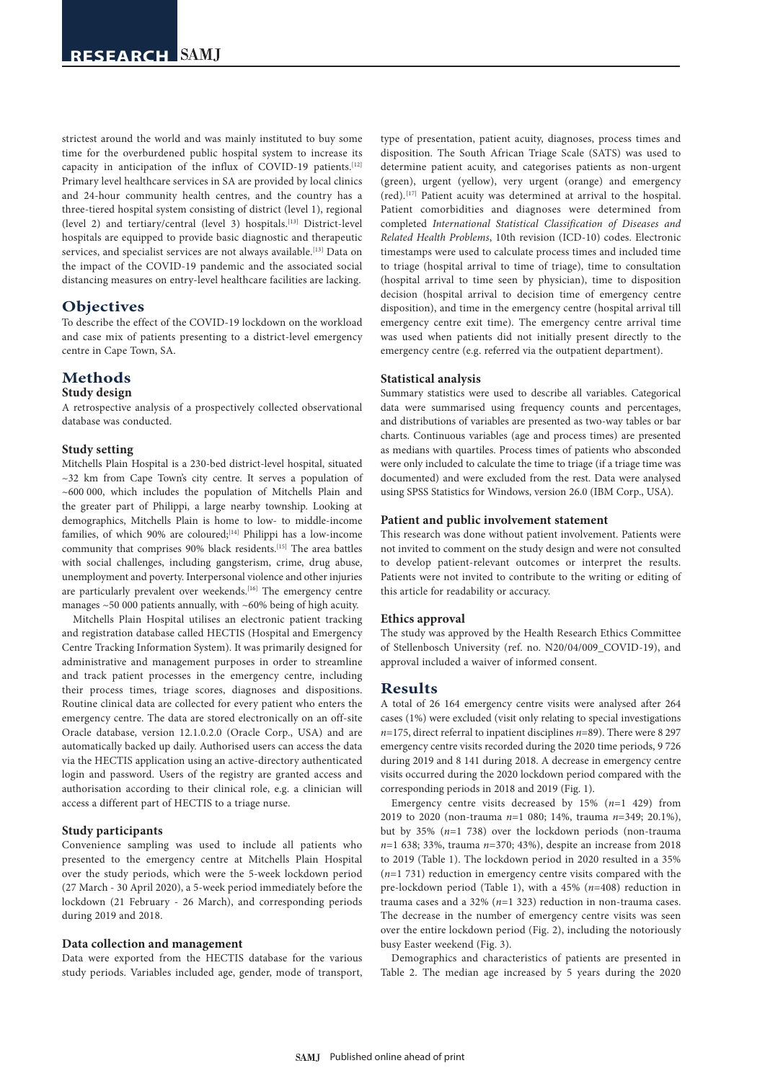strictest around the world and was mainly instituted to buy some time for the overburdened public hospital system to increase its capacity in anticipation of the influx of COVID-19 patients.<sup>[12]</sup> Primary level healthcare services in SA are provided by local clinics and 24-hour community health centres, and the country has a three-tiered hospital system consisting of district (level 1), regional (level 2) and tertiary/central (level 3) hospitals.[13] District-level hospitals are equipped to provide basic diagnostic and therapeutic services, and specialist services are not always available.<sup>[13]</sup> Data on the impact of the COVID-19 pandemic and the associated social distancing measures on entry-level healthcare facilities are lacking.

# **Objectives**

To describe the effect of the COVID-19 lockdown on the workload and case mix of patients presenting to a district-level emergency centre in Cape Town, SA.

# **Methods**

#### **Study design**

A retrospective analysis of a prospectively collected observational database was conducted.

#### **Study setting**

Mitchells Plain Hospital is a 230-bed district-level hospital, situated  $\sim$ 32 km from Cape Town's city centre. It serves a population of ~600 000, which includes the population of Mitchells Plain and the greater part of Philippi, a large nearby township. Looking at demographics, Mitchells Plain is home to low- to middle-income families, of which 90% are coloured;<sup>[14]</sup> Philippi has a low-income community that comprises 90% black residents.<sup>[15]</sup> The area battles with social challenges, including gangsterism, crime, drug abuse, unemployment and poverty. Interpersonal violence and other injuries are particularly prevalent over weekends.[16] The emergency centre manages  $\sim$  50 000 patients annually, with  $\sim$  60% being of high acuity.

Mitchells Plain Hospital utilises an electronic patient tracking and registration database called HECTIS (Hospital and Emergency Centre Tracking Information System). It was primarily designed for administrative and management purposes in order to streamline and track patient processes in the emergency centre, including their process times, triage scores, diagnoses and dispositions. Routine clinical data are collected for every patient who enters the emergency centre. The data are stored electronically on an off-site Oracle database, version 12.1.0.2.0 (Oracle Corp., USA) and are automatically backed up daily. Authorised users can access the data via the HECTIS application using an active-directory authenticated login and password. Users of the registry are granted access and authorisation according to their clinical role, e.g. a clinician will access a different part of HECTIS to a triage nurse.

## **Study participants**

Convenience sampling was used to include all patients who presented to the emergency centre at Mitchells Plain Hospital over the study periods, which were the 5-week lockdown period (27 March - 30 April 2020), a 5-week period immediately before the lockdown (21 February - 26 March), and corresponding periods during 2019 and 2018.

## **Data collection and management**

Data were exported from the HECTIS database for the various study periods. Variables included age, gender, mode of transport,

type of presentation, patient acuity, diagnoses, process times and disposition. The South African Triage Scale (SATS) was used to determine patient acuity, and categorises patients as non-urgent (green), urgent (yellow), very urgent (orange) and emergency (red).[17] Patient acuity was determined at arrival to the hospital. Patient comorbidities and diagnoses were determined from completed *International Statistical Classification of Diseases and Related Health Problems*, 10th revision (ICD-10) codes. Electronic timestamps were used to calculate process times and included time to triage (hospital arrival to time of triage), time to consultation (hospital arrival to time seen by physician), time to disposition decision (hospital arrival to decision time of emergency centre disposition), and time in the emergency centre (hospital arrival till emergency centre exit time). The emergency centre arrival time was used when patients did not initially present directly to the emergency centre (e.g. referred via the outpatient department).

#### **Statistical analysis**

Summary statistics were used to describe all variables. Categorical data were summarised using frequency counts and percentages, and distributions of variables are presented as two-way tables or bar charts. Continuous variables (age and process times) are presented as medians with quartiles. Process times of patients who absconded were only included to calculate the time to triage (if a triage time was documented) and were excluded from the rest. Data were analysed using SPSS Statistics for Windows, version 26.0 (IBM Corp., USA).

#### **Patient and public involvement statement**

This research was done without patient involvement. Patients were not invited to comment on the study design and were not consulted to develop patient-relevant outcomes or interpret the results. Patients were not invited to contribute to the writing or editing of this article for readability or accuracy.

#### **Ethics approval**

The study was approved by the Health Research Ethics Committee of Stellenbosch University (ref. no. N20/04/009\_COVID-19), and approval included a waiver of informed consent.

# **Results**

A total of 26 164 emergency centre visits were analysed after 264 cases (1%) were excluded (visit only relating to special investigations *n*=175, direct referral to inpatient disciplines *n*=89). There were 8 297 emergency centre visits recorded during the 2020 time periods, 9 726 during 2019 and 8 141 during 2018. A decrease in emergency centre visits occurred during the 2020 lockdown period compared with the corresponding periods in 2018 and 2019 (Fig. 1).

Emergency centre visits decreased by 15% (*n*=1 429) from 2019 to 2020 (non-trauma *n*=1 080; 14%, trauma *n*=349; 20.1%), but by 35% (*n*=1 738) over the lockdown periods (non-trauma *n*=1 638; 33%, trauma *n*=370; 43%), despite an increase from 2018 to 2019 (Table 1). The lockdown period in 2020 resulted in a 35% (*n*=1 731) reduction in emergency centre visits compared with the pre-lockdown period (Table 1), with a 45% (*n*=408) reduction in trauma cases and a 32% (*n*=1 323) reduction in non-trauma cases. The decrease in the number of emergency centre visits was seen over the entire lockdown period (Fig. 2), including the notoriously busy Easter weekend (Fig. 3).

Demographics and characteristics of patients are presented in Table 2. The median age increased by 5 years during the 2020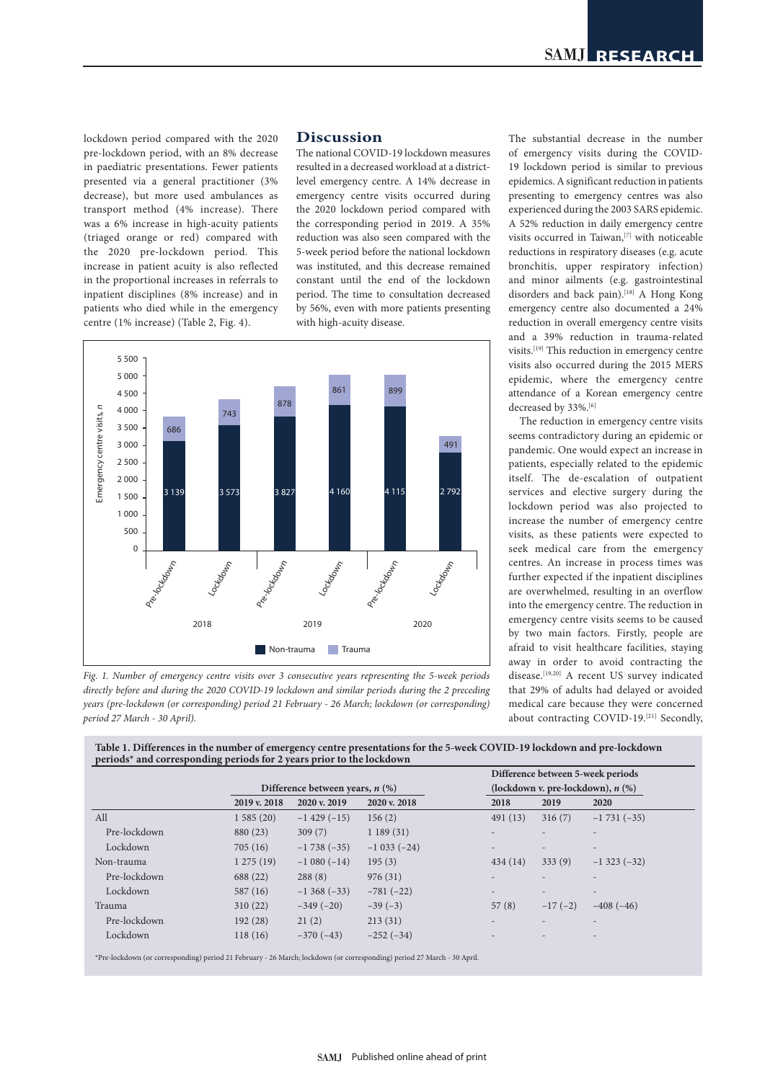lockdown period compared with the 2020 pre-lockdown period, with an 8% decrease in paediatric presentations. Fewer patients presented via a general practitioner (3% decrease), but more used ambulances as transport method (4% increase). There was a 6% increase in high-acuity patients (triaged orange or red) compared with the 2020 pre-lockdown period. This increase in patient acuity is also reflected in the proportional increases in referrals to inpatient disciplines (8% increase) and in patients who died while in the emergency centre (1% increase) (Table 2, Fig. 4).

## **Discussion**

The national COVID-19 lockdown measures resulted in a decreased workload at a districtlevel emergency centre. A 14% decrease in emergency centre visits occurred during the 2020 lockdown period compared with the corresponding period in 2019. A 35% reduction was also seen compared with the 5-week period before the national lockdown was instituted, and this decrease remained constant until the end of the lockdown period. The time to consultation decreased by 56%, even with more patients presenting with high-acuity disease.



*Fig. 1. Number of emergency centre visits over 3 consecutive years representing the 5-week periods directly before and during the 2020 COVID-19 lockdown and similar periods during the 2 preceding years (pre-lockdown (or corresponding) period 21 February - 26 March; lockdown (or corresponding) period 27 March - 30 April).*

The substantial decrease in the number of emergency visits during the COVID-19 lockdown period is similar to previous epidemics. A significant reduction in patients presenting to emergency centres was also experienced during the 2003 SARS epidemic. A 52% reduction in daily emergency centre visits occurred in Taiwan,[7] with noticeable reductions in respiratory diseases (e.g. acute bronchitis, upper respiratory infection) and minor ailments (e.g. gastrointestinal disorders and back pain).<sup>[18]</sup> A Hong Kong emergency centre also documented a 24% reduction in overall emergency centre visits and a 39% reduction in trauma-related visits.[19] This reduction in emergency centre visits also occurred during the 2015 MERS epidemic, where the emergency centre attendance of a Korean emergency centre decreased by 33%.<sup>[6]</sup>

The reduction in emergency centre visits seems contradictory during an epidemic or pandemic. One would expect an increase in patients, especially related to the epidemic itself. The de-escalation of outpatient services and elective surgery during the lockdown period was also projected to increase the number of emergency centre visits, as these patients were expected to seek medical care from the emergency centres. An increase in process times was further expected if the inpatient disciplines are overwhelmed, resulting in an overflow into the emergency centre. The reduction in emergency centre visits seems to be caused by two main factors. Firstly, people are afraid to visit healthcare facilities, staying away in order to avoid contracting the disease.<sup>[19,20]</sup> A recent US survey indicated that 29% of adults had delayed or avoided medical care because they were concerned about contracting COVID-19.[21] Secondly,

**Table 1. Differences in the number of emergency centre presentations for the 5-week COVID-19 lockdown and pre-lockdown periods\* and corresponding periods for 2 years prior to the lockdown**

|              |                                   |                    |              | Difference between 5-week periods     |                          |                          |
|--------------|-----------------------------------|--------------------|--------------|---------------------------------------|--------------------------|--------------------------|
|              | Difference between years, $n$ (%) |                    |              | (lockdown v. pre-lockdown), $n$ $%$ ) |                          |                          |
|              | 2019 v. 2018                      | 2020 v. 2019       | 2020 v. 2018 | 2018                                  | 2019                     | 2020                     |
| All          | 1585(20)                          | $-1$ 429 ( $-15$ ) | 156(2)       | 491(13)                               | 316(7)                   | $-1731(-35)$             |
| Pre-lockdown | 880 (23)                          | 309(7)             | 1189(31)     |                                       |                          |                          |
| Lockdown     | 705(16)                           | $-1738(-35)$       | $-1033(-24)$ | $\overline{\phantom{a}}$              | $\overline{\phantom{0}}$ | $\overline{\phantom{0}}$ |
| Non-trauma   | 1275(19)                          | $-1080(-14)$       | 195(3)       | 434(14)                               | 333(9)                   | $-1323(-32)$             |
| Pre-lockdown | 688 (22)                          | 288(8)             | 976(31)      | $\overline{\phantom{0}}$              |                          | $\overline{\phantom{0}}$ |
| Lockdown     | 587(16)                           | $-1368(-33)$       | $-781(-22)$  | $\overline{\phantom{a}}$              |                          | $\overline{\phantom{0}}$ |
| Trauma       | 310(22)                           | $-349(-20)$        | $-39(-3)$    | 57(8)                                 | $-17(-2)$                | $-408(-46)$              |
| Pre-lockdown | 192(28)                           | 21(2)              | 213(31)      |                                       |                          | $\overline{\phantom{0}}$ |
| Lockdown     | 118(16)                           | $-370(-43)$        | $-252(-34)$  |                                       |                          |                          |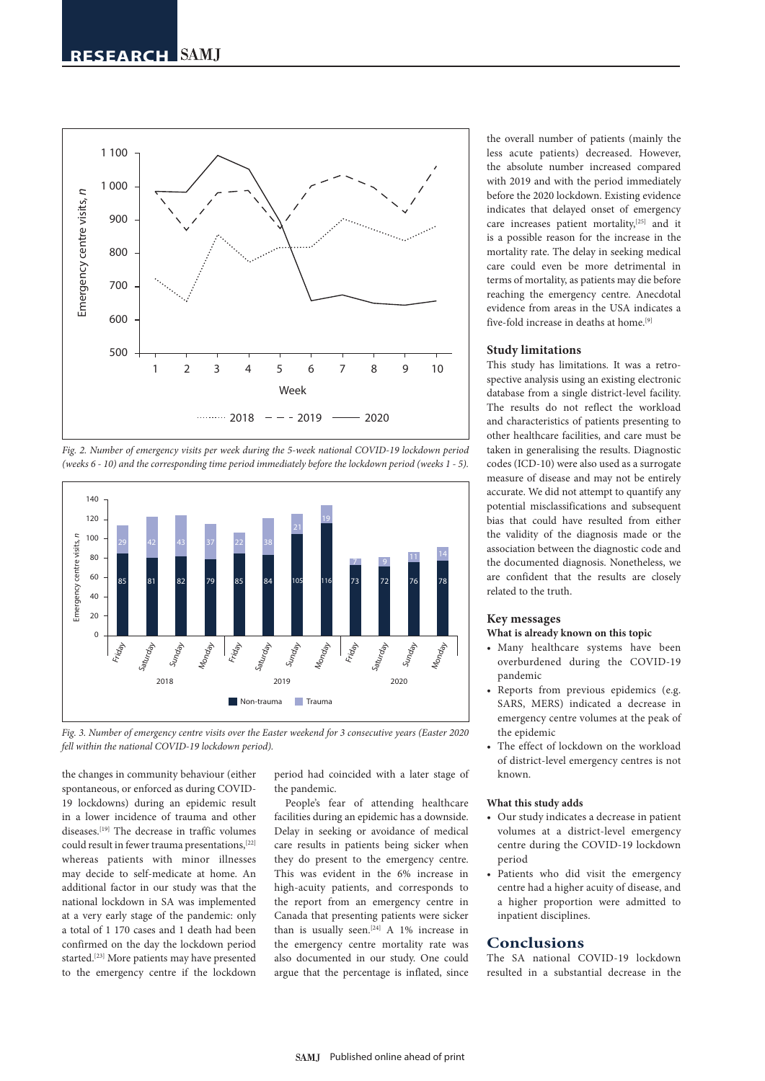

*Fig. 2. Number of emergency visits per week during the 5-week national COVID-19 lockdown period (weeks 6 - 10) and the corresponding time period immediately before the lockdown period (weeks 1 - 5).*



*Fig. 3. Number of emergency centre visits over the Easter weekend for 3 consecutive years (Easter 2020 fell within the national COVID-19 lockdown period).*

the changes in community behaviour (either spontaneous, or enforced as during COVID-19 lockdowns) during an epidemic result in a lower incidence of trauma and other diseases.[19] The decrease in traffic volumes could result in fewer trauma presentations,[22] whereas patients with minor illnesses may decide to self-medicate at home. An additional factor in our study was that the national lockdown in SA was implemented at a very early stage of the pandemic: only a total of 1 170 cases and 1 death had been confirmed on the day the lockdown period started.[23] More patients may have presented to the emergency centre if the lockdown period had coincided with a later stage of the pandemic.

People's fear of attending healthcare facilities during an epidemic has a downside. Delay in seeking or avoidance of medical care results in patients being sicker when they do present to the emergency centre. This was evident in the 6% increase in high-acuity patients, and corresponds to the report from an emergency centre in Canada that presenting patients were sicker than is usually seen.<sup>[24]</sup> A 1% increase in the emergency centre mortality rate was also documented in our study. One could argue that the percentage is inflated, since

the overall number of patients (mainly the less acute patients) decreased. However, the absolute number increased compared with 2019 and with the period immediately before the 2020 lockdown. Existing evidence indicates that delayed onset of emergency care increases patient mortality,<sup>[25]</sup> and it is a possible reason for the increase in the mortality rate. The delay in seeking medical care could even be more detrimental in terms of mortality, as patients may die before reaching the emergency centre. Anecdotal evidence from areas in the USA indicates a five-fold increase in deaths at home<sup>[9]</sup>

## **Study limitations**

This study has limitations. It was a retrospective analysis using an existing electronic database from a single district-level facility. The results do not reflect the workload and characteristics of patients presenting to other healthcare facilities, and care must be taken in generalising the results. Diagnostic codes (ICD-10) were also used as a surrogate measure of disease and may not be entirely accurate. We did not attempt to quantify any potential misclassifications and subsequent bias that could have resulted from either the validity of the diagnosis made or the association between the diagnostic code and the documented diagnosis. Nonetheless, we are confident that the results are closely related to the truth.

#### **Key messages**

#### **What is already known on this topic**

- Many healthcare systems have been overburdened during the COVID-19 pandemic
- Reports from previous epidemics (e.g. SARS, MERS) indicated a decrease in emergency centre volumes at the peak of the epidemic
- The effect of lockdown on the workload of district-level emergency centres is not known.

#### **What this study adds**

- Our study indicates a decrease in patient volumes at a district-level emergency centre during the COVID-19 lockdown period
- Patients who did visit the emergency centre had a higher acuity of disease, and a higher proportion were admitted to inpatient disciplines.

## **Conclusions**

The SA national COVID-19 lockdown resulted in a substantial decrease in the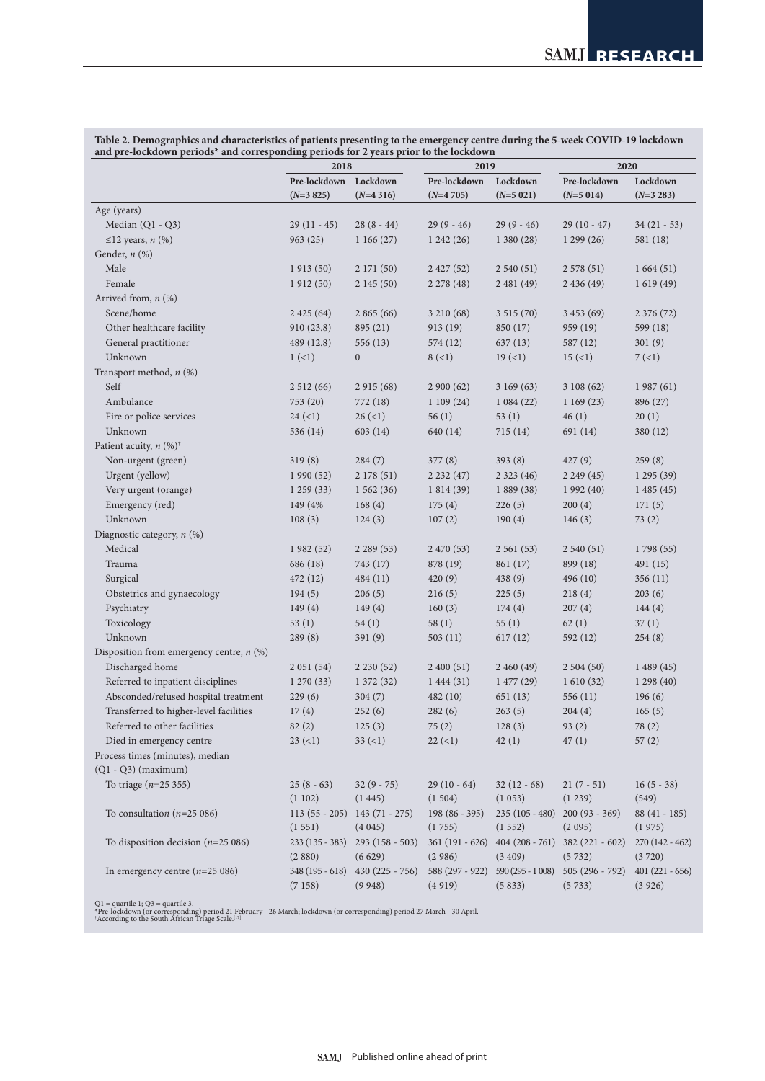**Table 2. Demographics and characteristics of patients presenting to the emergency centre during the 5-week COVID-19 lockdown and pre-lockdown periods\* and corresponding periods for 2 years prior to the lockdown**

|                                            | 2018                      |                            | 2019                      |                             | 2020                       |                            |
|--------------------------------------------|---------------------------|----------------------------|---------------------------|-----------------------------|----------------------------|----------------------------|
|                                            | Pre-lockdown              | Lockdown                   | Pre-lockdown              | Lockdown                    | Pre-lockdown               | Lockdown                   |
|                                            | $(N=3 825)$               | $(N=4316)$                 | $(N=4705)$                | $(N=5 021)$                 | $(N=5014)$                 | $(N=3 283)$                |
| Age (years)                                |                           |                            |                           |                             |                            |                            |
| Median (Q1 - Q3)                           | $29(11 - 45)$             | $28(8-44)$                 | $29(9-46)$                | $29(9-46)$                  | $29(10-47)$                | $34(21 - 53)$              |
| $\leq$ 12 years, n (%)                     | 963(25)                   | 1166(27)                   | 1242(26)                  | 1380(28)                    | 1299(26)                   | 581 (18)                   |
| Gender, n (%)                              |                           |                            |                           |                             |                            |                            |
| Male                                       | 1913(50)                  | 2 171 (50)                 | 2 427 (52)                | 2540(51)                    | 2578(51)                   | 1664(51)                   |
| Female                                     | 1912(50)                  | 2145(50)                   | 2 2 78 (48)               | 2481(49)                    | 2436(49)                   | 1619(49)                   |
| Arrived from, n (%)                        |                           |                            |                           |                             |                            |                            |
| Scene/home                                 | 2425(64)                  | 2865(66)                   | 3 210 (68)                | 3515(70)                    | 3 453 (69)                 | 2 376 (72)                 |
| Other healthcare facility                  | 910(23.8)                 | 895 (21)                   | 913(19)                   | 850 (17)                    | 959 (19)                   | 599 (18)                   |
| General practitioner                       | 489 (12.8)                | 556 (13)                   | 574 (12)                  | 637(13)                     | 587 (12)                   | 301(9)                     |
| Unknown                                    | $1 (-1)$                  | $\overline{0}$             | $8 (=1)$                  | 19(1)                       | 15(1)                      | 7(1)                       |
| Transport method, $n$ (%)                  |                           |                            |                           |                             |                            |                            |
| Self                                       | 2512(66)                  | 2 915 (68)                 | 2900(62)                  | 3169(63)                    | 3108(62)                   | 1987(61)                   |
| Ambulance                                  | 753 (20)                  | 772 (18)                   | 1109(24)                  | 1084(22)                    | 1169(23)                   | 896 (27)                   |
| Fire or police services                    | $24 (=1)$                 | $26 \, (\leq 1)$           | 56(1)                     | 53(1)                       | 46(1)                      | 20(1)                      |
| Unknown                                    | 536 (14)                  | 603(14)                    | 640 (14)                  | 715(14)                     | 691 (14)                   | 380 (12)                   |
| Patient acuity, $n$ (%) <sup>†</sup>       |                           |                            |                           |                             |                            |                            |
| Non-urgent (green)                         | 319(8)                    | 284(7)                     | 377(8)                    | 393(8)                      | 427(9)                     | 259(8)                     |
| Urgent (yellow)                            | 1990(52)                  | 2 178 (51)                 | 2232(47)                  | 2323(46)                    | 2249(45)                   | 1 295 (39)                 |
| Very urgent (orange)                       | 1259(33)                  | 1562(36)                   | 1 814 (39)                | 1 889 (38)                  | 1 992 (40)                 | 1485(45)                   |
| Emergency (red)                            | 149 (4%)                  | 168(4)                     | 175(4)                    | 226(5)                      | 200(4)                     | 171(5)                     |
| Unknown                                    |                           |                            | 107(2)                    | 190(4)                      | 146(3)                     |                            |
| Diagnostic category, n (%)                 | 108(3)                    | 124(3)                     |                           |                             |                            | 73(2)                      |
| Medical                                    |                           |                            |                           | 2561(53)                    | 2540(51)                   |                            |
|                                            | 1982(52)                  | 2289(53)                   | 2 470 (53)                |                             |                            | 1798 (55)                  |
| Trauma                                     | 686 (18)                  | 743 (17)                   | 878 (19)                  | 861 (17)                    | 899 (18)                   | 491 (15)                   |
| Surgical                                   | 472 (12)                  | 484 (11)                   | 420(9)                    | 438(9)                      | 496(10)                    | 356(11)                    |
| Obstetrics and gynaecology                 | 194(5)                    | 206(5)                     | 216(5)                    | 225(5)                      | 218(4)                     | 203(6)                     |
| Psychiatry                                 | 149(4)                    | 149(4)                     | 160(3)                    | 174(4)                      | 207(4)                     | 144(4)                     |
| Toxicology                                 | 53(1)                     | 54(1)                      | 58(1)                     | 55(1)                       | 62(1)                      | 37(1)                      |
| Unknown                                    | 289(8)                    | 391(9)                     | 503(11)                   | 617(12)                     | 592 (12)                   | 254(8)                     |
| Disposition from emergency centre, $n$ (%) |                           |                            |                           |                             |                            |                            |
| Discharged home                            | 2051(54)                  | 2230(52)                   | 2400(51)                  | 2460(49)                    | 2504(50)                   | 1489(45)                   |
| Referred to inpatient disciplines          | 1270(33)                  | 1372(32)                   | 1444(31)                  | 1477(29)                    | 1610(32)                   | 1 298 (40)                 |
| Absconded/refused hospital treatment       | 229(6)                    | 304(7)                     | 482(10)                   | 651(13)                     | 556 $(11)$                 | 196(6)                     |
| Transferred to higher-level facilities     | 17(4)                     | 252(6)                     | 282(6)                    | 263(5)                      | 204(4)                     | 165(5)                     |
| Referred to other facilities               | 82(2)                     | 125(3)                     | 75(2)                     | 128(3)                      | 93(2)                      | 78(2)                      |
| Died in emergency centre                   | 23(1)                     | $33 (-1)$                  | $22 (-1)$                 | 42(1)                       | 47(1)                      | 57(2)                      |
| Process times (minutes), median            |                           |                            |                           |                             |                            |                            |
| $(Q1 - Q3)$ (maximum)                      |                           |                            |                           |                             |                            |                            |
| To triage $(n=25 355)$                     | $25(8-63)$                | $32(9 - 75)$               | $29(10 - 64)$             | $32(12 - 68)$               | $21(7-51)$                 | $16(5 - 38)$               |
|                                            | (1102)                    | (1445)                     | (1504)                    | (1053)                      | (1239)                     | (549)                      |
| To consultation ( $n=25086$ )              | $113(55 - 205)$           | $143(71 - 275)$            | 198 (86 - 395)            | 235 (105 - 480)             | $200(93 - 369)$            | 88 (41 - 185)              |
|                                            | (1551)                    | (4045)                     | (1755)                    | (1552)                      | (2095)                     | (1975)                     |
| To disposition decision ( $n=25086$ )      | 233 (135 - 383)<br>(2880) | $293(158 - 503)$<br>(6629) | 361 (191 - 626)<br>(2986) | $404(208 - 761)$<br>(3409)  | $382(221 - 602)$<br>(5732) | $270(142 - 462)$<br>(3720) |
| In emergency centre $(n=25 086)$           | 348 (195 - 618)<br>(7158) | $430(225 - 756)$<br>(9948) | 588 (297 - 922)<br>(4919) | $590(295 - 1008)$<br>(5833) | $505(296 - 792)$<br>(5733) | $401(221 - 656)$<br>(3926) |

Q1 = quartile 1; Q3 = quartile 3.<br>\*Pre-lockdown (or corresponding) period 21 February - 26 March; lockdown (or corresponding) period 27 March - 30 April.<br>\*According to the South African Triage Scale.<sup>[17]</sup>